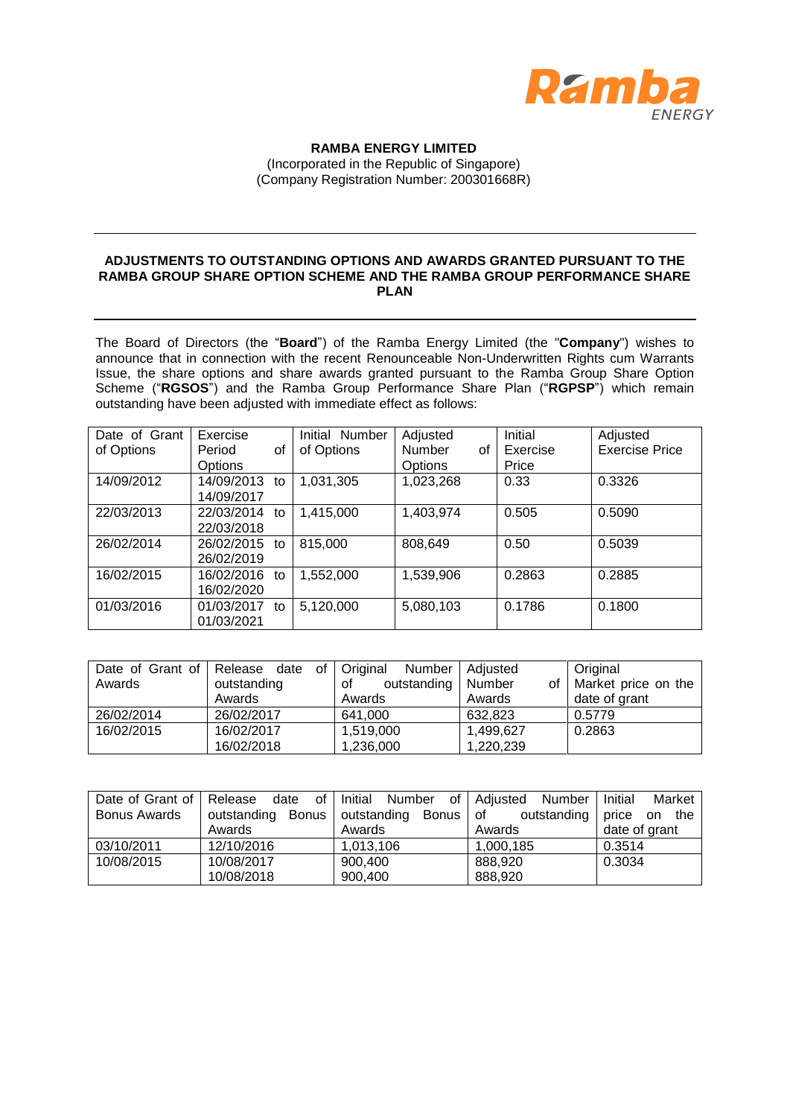

**RAMBA ENERGY LIMITED** (Incorporated in the Republic of Singapore) (Company Registration Number: 200301668R)

## **ADJUSTMENTS TO OUTSTANDING OPTIONS AND AWARDS GRANTED PURSUANT TO THE RAMBA GROUP SHARE OPTION SCHEME AND THE RAMBA GROUP PERFORMANCE SHARE PLAN**

The Board of Directors (the "**Board**") of the Ramba Energy Limited (the "**Company**") wishes to announce that in connection with the recent Renounceable Non-Underwritten Rights cum Warrants Issue, the share options and share awards granted pursuant to the Ramba Group Share Option Scheme ("**RGSOS**") and the Ramba Group Performance Share Plan ("**RGPSP**") which remain outstanding have been adjusted with immediate effect as follows:

| Date of Grant | Exercise         | Initial Number | Adjusted     | Initial  | Adjusted              |
|---------------|------------------|----------------|--------------|----------|-----------------------|
| of Options    | Period<br>οf     | of Options     | Number<br>οf | Exercise | <b>Exercise Price</b> |
|               | Options          |                | Options      | Price    |                       |
| 14/09/2012    | 14/09/2013<br>to | 1,031,305      | 1,023,268    | 0.33     | 0.3326                |
|               | 14/09/2017       |                |              |          |                       |
| 22/03/2013    | 22/03/2014<br>to | 1,415,000      | 1,403,974    | 0.505    | 0.5090                |
|               | 22/03/2018       |                |              |          |                       |
| 26/02/2014    | 26/02/2015<br>to | 815,000        | 808,649      | 0.50     | 0.5039                |
|               | 26/02/2019       |                |              |          |                       |
| 16/02/2015    | 16/02/2016<br>to | 1,552,000      | 1,539,906    | 0.2863   | 0.2885                |
|               | 16/02/2020       |                |              |          |                       |
| 01/03/2016    | 01/03/2017<br>to | 5,120,000      | 5,080,103    | 0.1786   | 0.1800                |
|               | 01/03/2021       |                |              |          |                       |

|            | Date of Grant of Release date of Original | Number            | Adjusted     | Original            |
|------------|-------------------------------------------|-------------------|--------------|---------------------|
| Awards     | outstanding                               | outstanding<br>οf | Number<br>οf | Market price on the |
|            | Awards                                    | Awards            | Awards       | date of grant       |
| 26/02/2014 | 26/02/2017                                | 641,000           | 632,823      | 0.5779              |
| 16/02/2015 | 16/02/2017                                | 1,519,000         | 1,499,627    | 0.2863              |
|            | 16/02/2018                                | 1,236,000         | 1,220,239    |                     |

| Date of Grant of    | Release<br>date<br>0f       | Initial<br>Number<br>of⊤ | Number<br>l Adiusted | Initial<br>Market   |
|---------------------|-----------------------------|--------------------------|----------------------|---------------------|
| <b>Bonus Awards</b> | outstanding<br><b>Bonus</b> | outstanding<br>Bonus     | of<br>outstanding    | price<br>the<br>on. |
|                     | Awards                      | Awards                   | Awards               | date of grant       |
| 03/10/2011          | 12/10/2016                  | 1,013,106                | 1,000,185            | 0.3514              |
| 10/08/2015          | 10/08/2017                  | 900,400                  | 888.920              | 0.3034              |
|                     | 10/08/2018                  | 900,400                  | 888,920              |                     |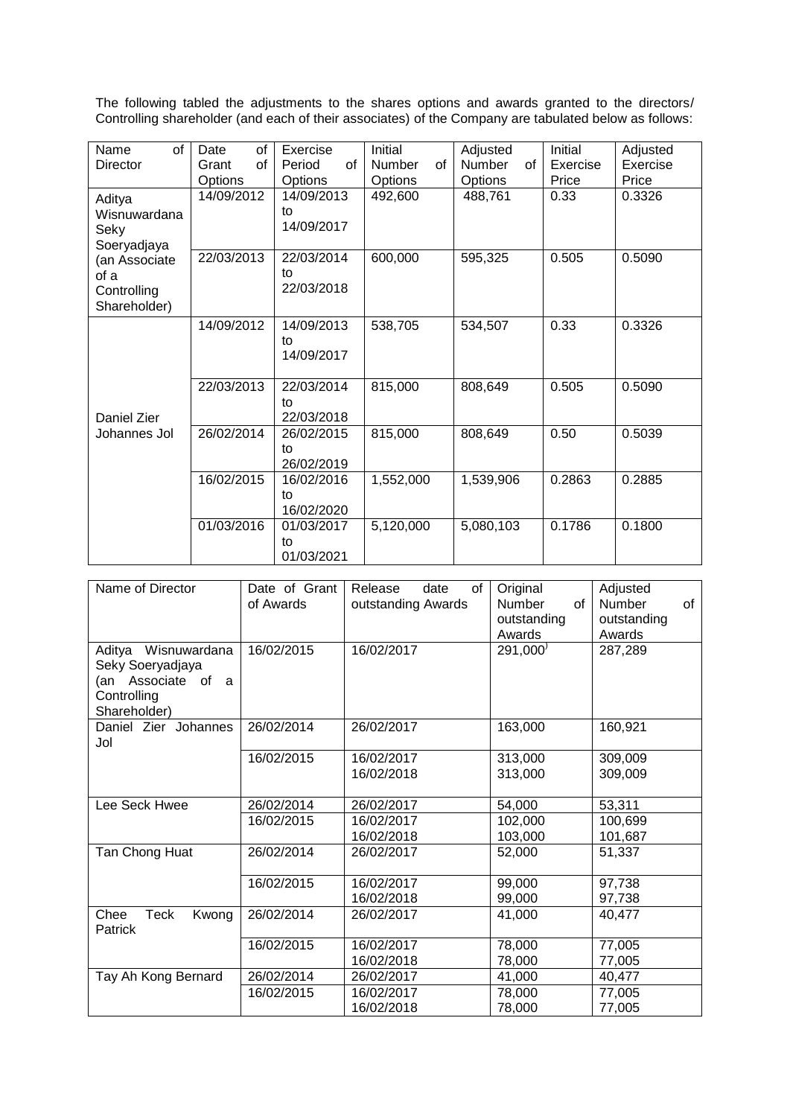The following tabled the adjustments to the shares options and awards granted to the directors/ Controlling shareholder (and each of their associates) of the Company are tabulated below as follows:

| of<br>Name      | Date<br>οf  | Exercise       | Initial             | Adjusted     | Initial  | Adjusted |
|-----------------|-------------|----------------|---------------------|--------------|----------|----------|
| <b>Director</b> | Grant<br>of | Period<br>of   | of<br><b>Number</b> | Number<br>of | Exercise | Exercise |
|                 | Options     | <b>Options</b> | Options             | Options      | Price    | Price    |
| Aditya          | 14/09/2012  | 14/09/2013     | 492,600             | 488,761      | 0.33     | 0.3326   |
| Wisnuwardana    |             | to             |                     |              |          |          |
| Seky            |             | 14/09/2017     |                     |              |          |          |
| Soeryadjaya     |             |                |                     |              |          |          |
| (an Associate   | 22/03/2013  | 22/03/2014     | 600,000             | 595,325      | 0.505    | 0.5090   |
| of a            |             | to             |                     |              |          |          |
| Controlling     |             | 22/03/2018     |                     |              |          |          |
| Shareholder)    |             |                |                     |              |          |          |
|                 | 14/09/2012  | 14/09/2013     | 538,705             | 534,507      | 0.33     | 0.3326   |
|                 |             | to             |                     |              |          |          |
|                 |             | 14/09/2017     |                     |              |          |          |
|                 |             |                |                     |              |          |          |
|                 | 22/03/2013  | 22/03/2014     | 815,000             | 808,649      | 0.505    | 0.5090   |
|                 |             | to             |                     |              |          |          |
| Daniel Zier     |             | 22/03/2018     |                     |              |          |          |
| Johannes Jol    | 26/02/2014  | 26/02/2015     | 815,000             | 808,649      | 0.50     | 0.5039   |
|                 |             | to             |                     |              |          |          |
|                 |             | 26/02/2019     |                     |              |          |          |
|                 | 16/02/2015  | 16/02/2016     | 1,552,000           | 1,539,906    | 0.2863   | 0.2885   |
|                 |             | to             |                     |              |          |          |
|                 |             | 16/02/2020     |                     |              |          |          |
|                 | 01/03/2016  | 01/03/2017     | 5,120,000           | 5,080,103    | 0.1786   | 0.1800   |
|                 |             | to             |                     |              |          |          |
|                 |             | 01/03/2021     |                     |              |          |          |

| Name of Director                                                                                | Date of Grant<br>of Awards | Release<br>date<br>of<br>outstanding Awards | Original<br>of<br>Number<br>outstanding<br>Awards | Adjusted<br>of<br>Number<br>outstanding<br>Awards |
|-------------------------------------------------------------------------------------------------|----------------------------|---------------------------------------------|---------------------------------------------------|---------------------------------------------------|
| Wisnuwardana<br>Aditya<br>Seky Soeryadjaya<br>(an Associate of a<br>Controlling<br>Shareholder) | 16/02/2015                 | 16/02/2017                                  | 291,000'                                          | 287,289                                           |
| Daniel Zier Johannes<br>Jol                                                                     | 26/02/2014                 | 26/02/2017                                  | 163,000                                           | 160,921                                           |
|                                                                                                 | 16/02/2015                 | 16/02/2017<br>16/02/2018                    | 313,000<br>313,000                                | 309,009<br>309,009                                |
| Lee Seck Hwee                                                                                   | 26/02/2014                 | 26/02/2017                                  | 54,000                                            | 53,311                                            |
|                                                                                                 | 16/02/2015                 | 16/02/2017                                  | 102,000                                           | 100,699                                           |
|                                                                                                 |                            | 16/02/2018                                  | 103,000                                           | 101,687                                           |
| Tan Chong Huat                                                                                  | 26/02/2014                 | 26/02/2017                                  | 52,000                                            | 51,337                                            |
|                                                                                                 | 16/02/2015                 | 16/02/2017                                  | 99,000                                            | 97,738                                            |
|                                                                                                 |                            | 16/02/2018                                  | 99,000                                            | 97,738                                            |
| Chee<br>Teck<br>Kwong<br><b>Patrick</b>                                                         | 26/02/2014                 | 26/02/2017                                  | 41,000                                            | 40,477                                            |
|                                                                                                 | 16/02/2015                 | 16/02/2017                                  | 78,000                                            | 77,005                                            |
|                                                                                                 |                            | 16/02/2018                                  | 78,000                                            | 77,005                                            |
| Tay Ah Kong Bernard                                                                             | 26/02/2014                 | 26/02/2017                                  | 41,000                                            | 40,477                                            |
|                                                                                                 | 16/02/2015                 | 16/02/2017                                  | 78,000                                            | 77,005                                            |
|                                                                                                 |                            | 16/02/2018                                  | 78,000                                            | 77,005                                            |